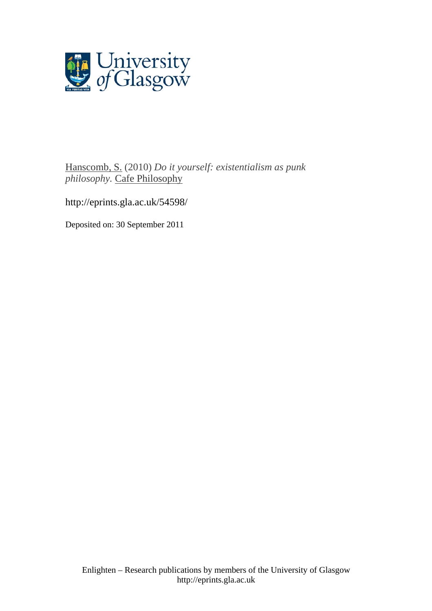

[Hanscomb, S.](http://eprints.gla.ac.uk/view/author/12632.html) (2010) *Do it yourself: existentialism as punk philosophy.* [Cafe Philosophy](http://eprints.gla.ac.uk/view/journal_volume/Cafe_Philosophy.html)

http://eprints.gla.ac.uk/54598/

Deposited on: 30 September 2011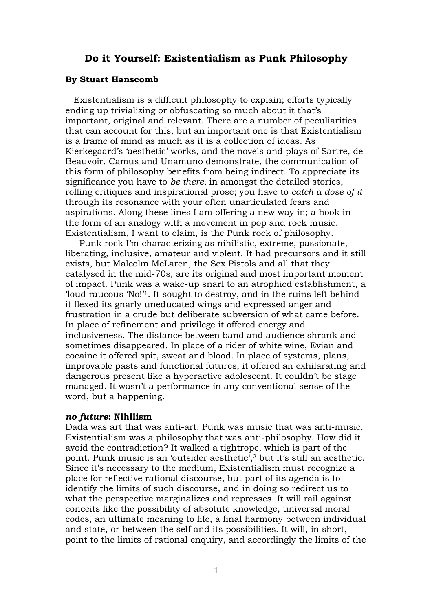## **Do it Yourself: Existentialism as Punk Philosophy**

#### **By Stuart Hanscomb**

 Existentialism is a difficult philosophy to explain; efforts typically ending up trivializing or obfuscating so much about it that's important, original and relevant. There are a number of peculiarities that can account for this, but an important one is that Existentialism is a frame of mind as much as it is a collection of ideas. As Kierkegaard's 'aesthetic' works, and the novels and plays of Sartre, de Beauvoir, Camus and Unamuno demonstrate, the communication of this form of philosophy benefits from being indirect. To appreciate its significance you have to *be there*, in amongst the detailed stories, rolling critiques and inspirational prose; you have to *catch a dose of it* through its resonance with your often unarticulated fears and aspirations. Along these lines I am offering a new way in; a hook in the form of an analogy with a movement in pop and rock music. Existentialism, I want to claim, is the Punk rock of philosophy.

 Punk rock I'm characterizing as nihilistic, extreme, passionate, liberating, inclusive, amateur and violent. It had precursors and it still exists, but Malcolm McLaren, the Sex Pistols and all that they catalysed in the mid-70s, are its original and most important moment of impact. Punk was a wake-up snarl to an atrophied establishment, a 'loud raucous 'No!'[1.](#page-4-0) It sought to destroy, and in the ruins left behind it flexed its gnarly uneducated wings and expressed anger and frustration in a crude but deliberate subversion of what came before. In place of refinement and privilege it offered energy and inclusiveness. The distance between band and audience shrank and sometimes disappeared. In place of a rider of white wine, Evian and cocaine it offered spit, sweat and blood. In place of systems, plans, improvable pasts and functional futures, it offered an exhilarating and dangerous present like a hyperactive adolescent. It couldn't be stage managed. It wasn't a performance in any conventional sense of the word, but a happening.

#### *no future***: Nihilism**

Dada was art that was anti-art. Punk was music that was anti-music. Existentialism was a philosophy that was anti-philosophy. How did it avoid the contradiction? It walked a tightrope, which is part of the point. Punk music is an 'outsider aesthetic'[,2](#page-4-1) but it's still an aesthetic. Since it's necessary to the medium, Existentialism must recognize a place for reflective rational discourse, but part of its agenda is to identify the limits of such discourse, and in doing so redirect us to what the perspective marginalizes and represses. It will rail against conceits like the possibility of absolute knowledge, universal moral codes, an ultimate meaning to life, a final harmony between individual and state, or between the self and its possibilities. It will, in short, point to the limits of rational enquiry, and accordingly the limits of the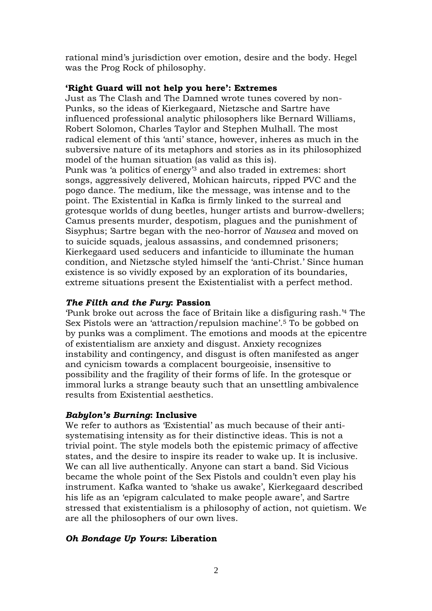rational mind's jurisdiction over emotion, desire and the body. Hegel was the Prog Rock of philosophy.

## **'Right Guard will not help you here': Extremes**

Just as The Clash and The Damned wrote tunes covered by non-Punks, so the ideas of Kierkegaard, Nietzsche and Sartre have influenced professional analytic philosophers like Bernard Williams, Robert Solomon, Charles Taylor and Stephen Mulhall. The most radical element of this 'anti' stance, however, inheres as much in the subversive nature of its metaphors and stories as in its philosophized model of the human situation (as valid as this is).

Punk was 'a politics of energy['3](#page-4-2) and also traded in extremes: short songs, aggressively delivered, Mohican haircuts, ripped PVC and the pogo dance. The medium, like the message, was intense and to the point. The Existential in Kafka is firmly linked to the surreal and grotesque worlds of dung beetles, hunger artists and burrow-dwellers; Camus presents murder, despotism, plagues and the punishment of Sisyphus; Sartre began with the neo-horror of *Nausea* and moved on to suicide squads, jealous assassins, and condemned prisoners; Kierkegaard used seducers and infanticide to illuminate the human condition, and Nietzsche styled himself the 'anti-Christ.' Since human existence is so vividly exposed by an exploration of its boundaries, extreme situations present the Existentialist with a perfect method.

# *The Filth and the Fury***: Passion**

'Punk broke out across the face of Britain like a disfiguring rash.'[4](#page-4-3) The Sex Pistols were an 'attraction/repulsion machine'.[5](#page-4-4) To be gobbed on by punks was a compliment. The emotions and moods at the epicentre of existentialism are anxiety and disgust. Anxiety recognizes instability and contingency, and disgust is often manifested as anger and cynicism towards a complacent bourgeoisie, insensitive to possibility and the fragility of their forms of life. In the grotesque or immoral lurks a strange beauty such that an unsettling ambivalence results from Existential aesthetics.

### *Babylon's Burning***: Inclusive**

We refer to authors as 'Existential' as much because of their antisystematising intensity as for their distinctive ideas. This is not a trivial point. The style models both the epistemic primacy of affective states, and the desire to inspire its reader to wake up. It is inclusive. We can all live authentically. Anyone can start a band. Sid Vicious became the whole point of the Sex Pistols and couldn't even play his instrument. Kafka wanted to 'shake us awake', Kierkegaard described his life as an 'epigram calculated to make people aware', and Sartre stressed that existentialism is a philosophy of action, not quietism. We are all the philosophers of our own lives.

### *Oh Bondage Up Yours***: Liberation**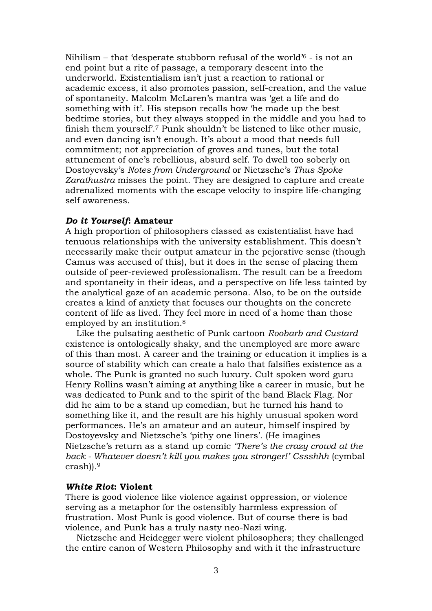Nihilism – that 'desperate stubborn refusal of the world['6](#page-4-5) - is not an end point but a rite of passage, a temporary descent into the underworld. Existentialism isn't just a reaction to rational or academic excess, it also promotes passion, self-creation, and the value of spontaneity. Malcolm McLaren's mantra was 'get a life and do something with it'. His stepson recalls how 'he made up the best bedtime stories, but they always stopped in the middle and you had to finish them yourself'.[7](#page-4-6) Punk shouldn't be listened to like other music, and even dancing isn't enough. It's about a mood that needs full commitment; not appreciation of groves and tunes, but the total attunement of one's rebellious, absurd self. To dwell too soberly on Dostoyevsky's *Notes from Underground* or Nietzsche's *Thus Spoke Zarathustra* misses the point. They are designed to capture and create adrenalized moments with the escape velocity to inspire life-changing self awareness.

### *Do it Yourself***: Amateur**

A high proportion of philosophers classed as existentialist have had tenuous relationships with the university establishment. This doesn't necessarily make their output amateur in the pejorative sense (though Camus was accused of this), but it does in the sense of placing them outside of peer-reviewed professionalism. The result can be a freedom and spontaneity in their ideas, and a perspective on life less tainted by the analytical gaze of an academic persona. Also, to be on the outside creates a kind of anxiety that focuses our thoughts on the concrete content of life as lived. They feel more in need of a home than those employed by an institution[.8](#page-4-7) 

 Like the pulsating aesthetic of Punk cartoon *Roobarb and Custard* existence is ontologically shaky, and the unemployed are more aware of this than most. A career and the training or education it implies is a source of stability which can create a halo that falsifies existence as a whole. The Punk is granted no such luxury. Cult spoken word guru Henry Rollins wasn't aiming at anything like a career in music, but he was dedicated to Punk and to the spirit of the band Black Flag. Nor did he aim to be a stand up comedian, but he turned his hand to something like it, and the result are his highly unusual spoken word performances. He's an amateur and an auteur, himself inspired by Dostoyevsky and Nietzsche's 'pithy one liners'. (He imagines Nietzsche's return as a stand up comic *'There's the crazy crowd at the back - Whatever doesn't kill you makes you stronger!' Cssshhh* (cymbal crash)).[9](#page-4-8) 

#### *White Riot***: Violent**

There is good violence like violence against oppression, or violence serving as a metaphor for the ostensibly harmless expression of frustration. Most Punk is good violence. But of course there is bad violence, and Punk has a truly nasty neo-Nazi wing.

 Nietzsche and Heidegger were violent philosophers; they challenged the entire canon of Western Philosophy and with it the infrastructure